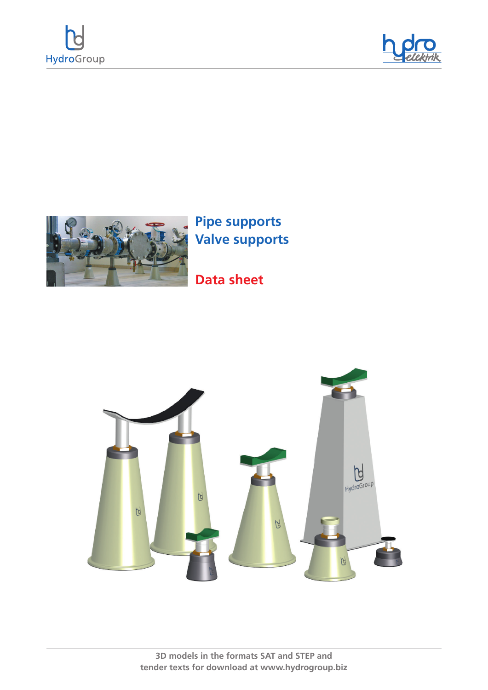





**Pipe supports Valve supports**

## **Data sheet**